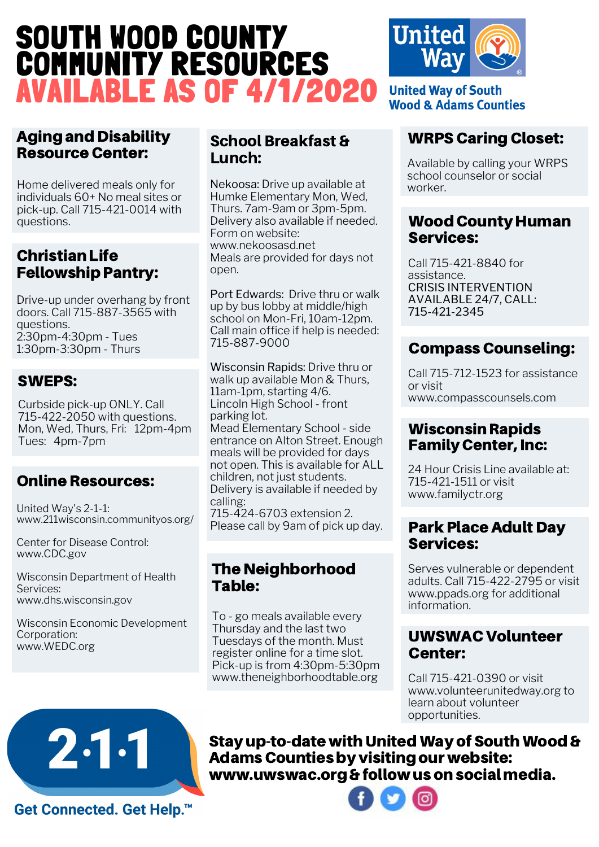# $\overline{a}$ SOUTH WOOD COUNTY COMMUNITY RESOURCES AVAILABLE AS OF 4/1/2020

#### Agingand Disability **Resource Center:**

Home delivered meals only for individuals 60+ No meal sites or pick-up. Call 715-421-0014 with questions.

#### **Christian Life Fellowship Pantry:**

Drive-up under overhang by front doors. Call 715-887-3565 with questions. 2:30pm-4:30pm - Tues 1:30pm-3:30pm - Thurs

#### **SWEPS:**

Curbside pick-up ONLY. Call 715-422-2050 with questions. Mon, Wed, Thurs, Fri: 12pm-4pm Tues: 4pm-7pm

### **Online Resources:**

United Way's 2-1-1: <www.211wisconsin.communityos.org>/

Center for Disease Control: <www.CDC.gov>

Wisconsin Department of Health Services: <www.dhs.wisconsin.gov>

Wisconsin Economic Development Corporation: <www.WEDC.org>

#### **School Breakfast &** Lunch:

Nekoosa: Drive up available at Humke Elementary Mon, Wed, Thurs. 7am-9am or 3pm-5pm. Delivery also available if needed. Form on website: <www.nekoosasd.net> Meals are provided for days not open.

 Port Edwards: Drive thru or walk up by bus lobby at middle/high school on Mon-Fri, 10am-12pm. Call main office if help is needed: 715-887-9000

Wisconsin Rapids: Drive thru or walk up available Mon & Thurs, 11am-1pm, starting 4/6. Lincoln High School - front parking lot.

 calling: Mead Elementary School - side entrance on Alton Street. Enough meals will be provided for days not open. This is available for ALL children, not just students. Delivery is available if needed by

715-424-6703 extension 2. Please call by 9am of pick up day.

#### The Neighborhood Table:

To - go meals available every Thursday and the last two Tuesdays of the month. Must register online for a time slot. Pick-up is from 4:30pm-5:30pm <www.theneighborhoodtable.org>



#### United Way of South Wood & Adams Counties

#### $\ddot{\phantom{0}}$ **WRPS Caring Closet:**

Available by calling your WRPS school counselor or social worker.

#### **Wood County Human Services:**

Call 715-421-8840 for assistance. CRISIS INTERVENTION AVAILABLE 24/7, CALL: 715-421-2345

### **Compass Counseling:**

Call 715-712-1523 for assistance or visit <www.compasscounsels.com>

#### $\overline{\phantom{a}}$ WisconsinRapids **Family Center, Inc:**

24 Hour Crisis Line available at: 715-421-1511 or visit <www.familyctr.org>

#### $\ddot{\phantom{0}}$ **Park Place Adult Day Services:**

Serves vulnerable or dependent adults. Call 715-422-2795 or visit <www.ppads.org> for additional information.

#### **UWSWAC Volunteer Center:**

Call 715-421-0390 or visit <www.volunteerunitedway.org>to learn about volunteer opportunities.



 $\overline{a}$ ī www.uwswac.org & follow us on social media.<br> **CO** Stayup-to-date with UnitedWay of SouthWood & Adams Counties by visiting our website:



Get Connected. Get Help.™